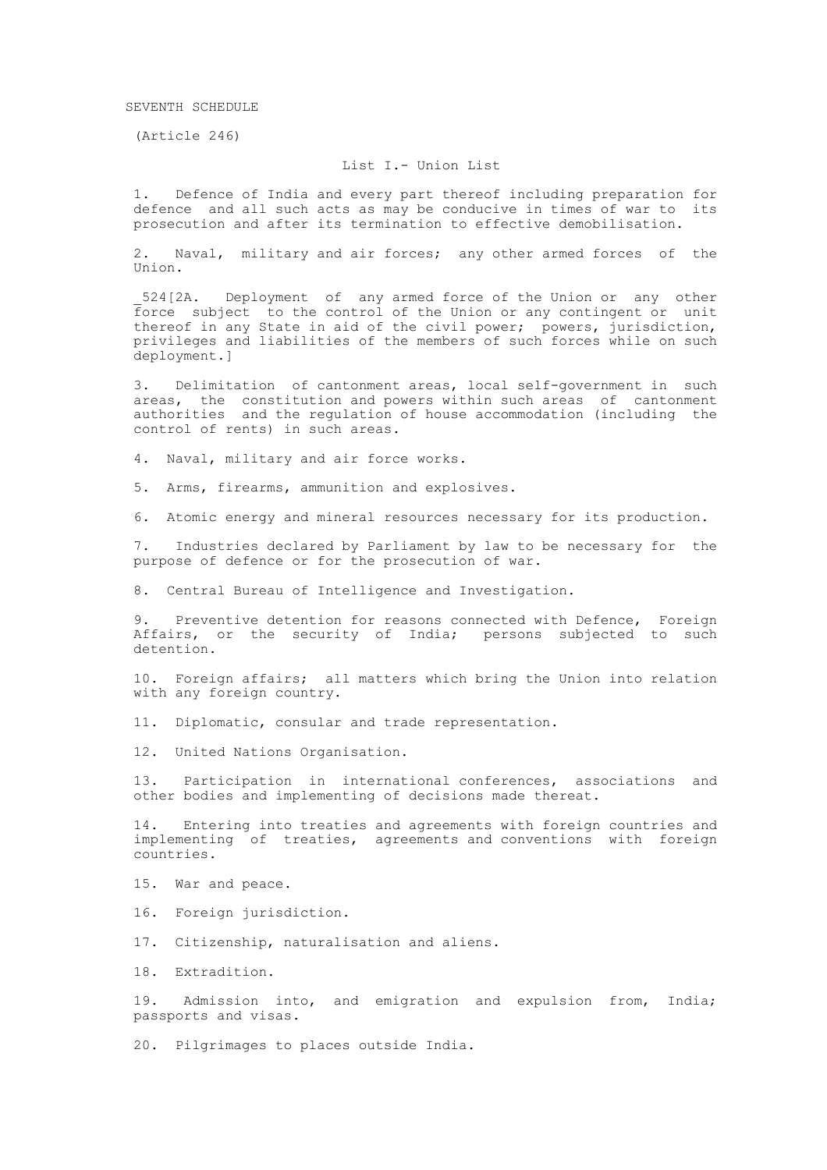(Article 246)

## List I.- Union List

1. Defence of India and every part thereof including preparation for defence and all such acts as may be conducive in times of war to its prosecution and after its termination to effective demobilisation.

2. Naval, military and air forces; any other armed forces of the Union.

524[2A. Deployment of any armed force of the Union or any other force subject to the control of the Union or any contingent or unit thereof in any State in aid of the civil power; powers, jurisdiction, privileges and liabilities of the members of such forces while on such deployment.]

3. Delimitation of cantonment areas, local self-government in such areas, the constitution and powers within such areas of cantonment authorities and the regulation of house accommodation (including the control of rents) in such areas.

4. Naval, military and air force works.

5. Arms, firearms, ammunition and explosives.

6. Atomic energy and mineral resources necessary for its production.

7. Industries declared by Parliament by law to be necessary for the purpose of defence or for the prosecution of war.

8. Central Bureau of Intelligence and Investigation.

9. Preventive detention for reasons connected with Defence, Foreign Affairs, or the security of India; persons subjected to such detention.

10. Foreign affairs; all matters which bring the Union into relation with any foreign country.

11. Diplomatic, consular and trade representation.

12. United Nations Organisation.

13. Participation in international conferences, associations and other bodies and implementing of decisions made thereat.

14. Entering into treaties and agreements with foreign countries and implementing of treaties, agreements and conventions with foreign countries.

15. War and peace.

16. Foreign jurisdiction.

17. Citizenship, naturalisation and aliens.

18. Extradition.

19. Admission into, and emigration and expulsion from, India; passports and visas.

20. Pilgrimages to places outside India.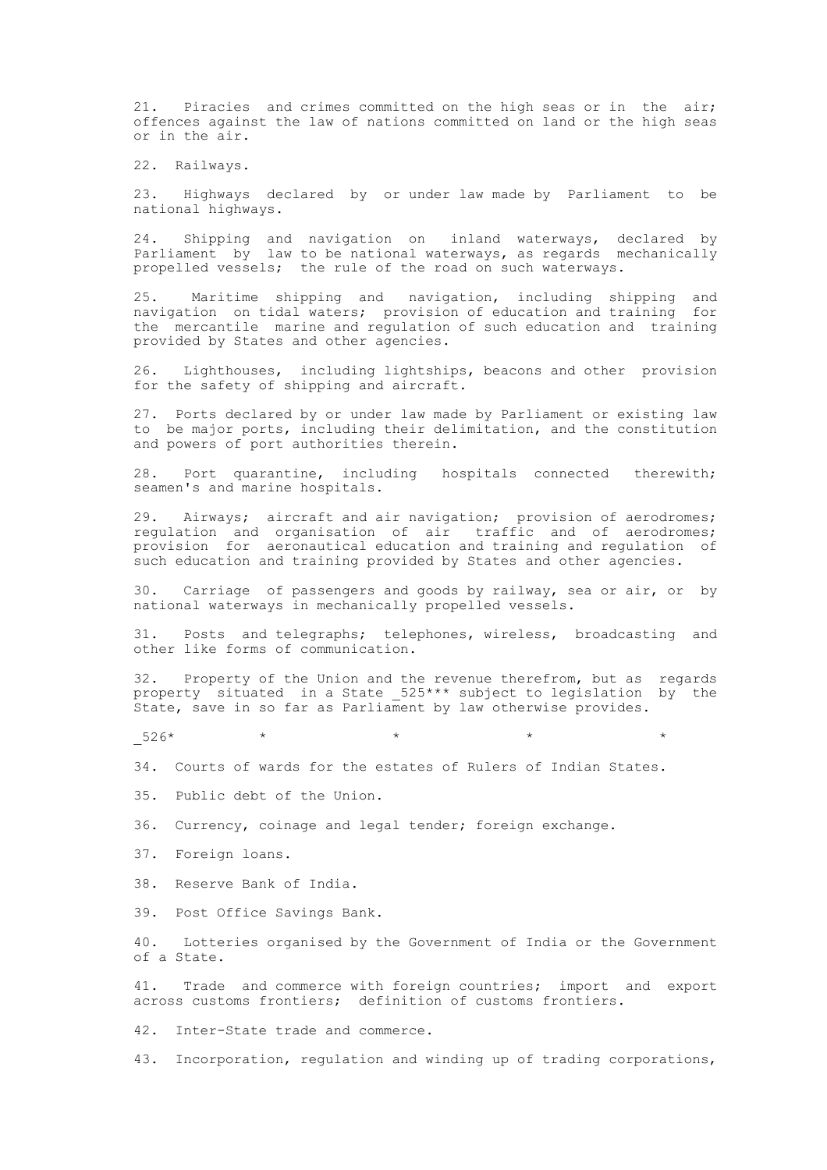21. Piracies and crimes committed on the high seas or in the air; offences against the law of nations committed on land or the high seas or in the air.

22. Railways.

23. Highways declared by or under law made by Parliament to be national highways.

24. Shipping and navigation on inland waterways, declared by Parliament by law to be national waterways, as regards mechanically propelled vessels; the rule of the road on such waterways.

25. Maritime shipping and navigation, including shipping and<br>simination on tidal waters: provision-of-education-and-training for navigation on tidal waters; provision of education and training the mercantile marine and regulation of such education and training provided by States and other agencies.

26. Lighthouses, including lightships, beacons and other provision for the safety of shipping and aircraft.

27. Ports declared by or under law made by Parliament or existing law to be major ports, including their delimitation, and the constitution and powers of port authorities therein.

28. Port quarantine, including hospitals connected therewith; seamen's and marine hospitals.

29. Airways; aircraft and air navigation; provision of aerodromes; regulation and organisation of air traffic and of aerodromes; provision for aeronautical education and training and regulation of such education and training provided by States and other agencies.

30. Carriage of passengers and goods by railway, sea or air, or by national waterways in mechanically propelled vessels.

31. Posts and telegraphs; telephones, wireless, broadcasting and other like forms of communication.

32. Property of the Union and the revenue therefrom, but as regards property situated in a State \_525\*\*\* subject to legislation by the State, save in so far as Parliament by law otherwise provides.

 $-526*$  \* \* \* \* \* \* \* \*

34. Courts of wards for the estates of Rulers of Indian States.

35. Public debt of the Union.

36. Currency, coinage and legal tender; foreign exchange.

37. Foreign loans.

38. Reserve Bank of India.

39. Post Office Savings Bank.

40. Lotteries organised by the Government of India or the Government of a State.

41. Trade and commerce with foreign countries; import and export across customs frontiers; definition of customs frontiers.

42. Inter-State trade and commerce.

43. Incorporation, regulation and winding up of trading corporations,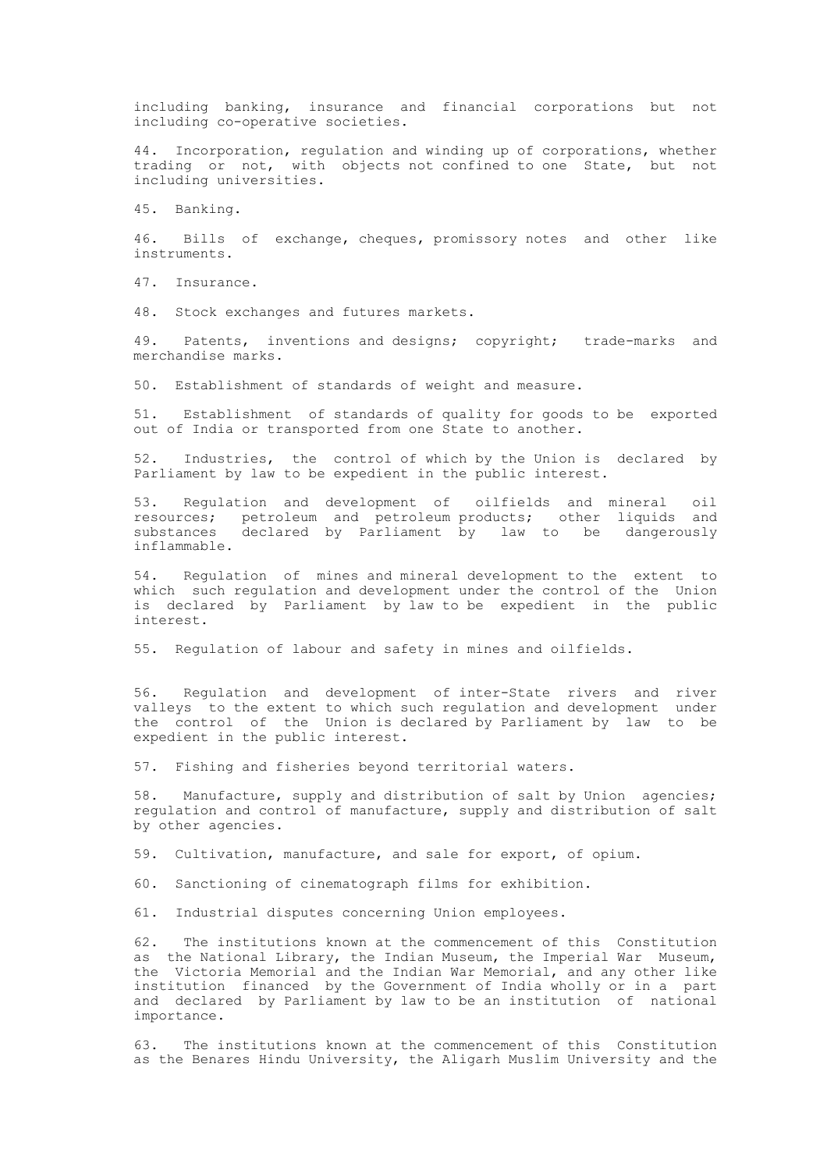including banking, insurance and financial corporations but not including co-operative societies.

44. Incorporation, regulation and winding up of corporations, whether trading or not, with objects not confined to one State, but not including universities.

45. Banking.

46. Bills of exchange, cheques, promissory notes and other like instruments.

47. Insurance.

48. Stock exchanges and futures markets.

49. Patents, inventions and designs; copyright; trade-marks and merchandise marks.

50. Establishment of standards of weight and measure.

51. Establishment of standards of quality for goods to be exported out of India or transported from one State to another.

52. Industries, the control of which by the Union is declared by Parliament by law to be expedient in the public interest.

53. Regulation and development of oilfields and mineral oil resources; petroleum and petroleum products; other liquids and substances declared by Parliament by law to be dangerously inflammable.

54. Regulation of mines and mineral development to the extent to which such regulation and development under the control of the Union is declared by Parliament by law to be expedient in the public interest.

55. Regulation of labour and safety in mines and oilfields.

56. Regulation and development of inter-State rivers and river valleys to the extent to which such regulation and development under the control of the Union is declared by Parliament by law to be expedient in the public interest.

57. Fishing and fisheries beyond territorial waters.

58. Manufacture, supply and distribution of salt by Union agencies; regulation and control of manufacture, supply and distribution of salt by other agencies.

59. Cultivation, manufacture, and sale for export, of opium.

60. Sanctioning of cinematograph films for exhibition.

61. Industrial disputes concerning Union employees.

62. The institutions known at the commencement of this Constitution as the National Library, the Indian Museum, the Imperial War Museum, the Victoria Memorial and the Indian War Memorial, and any other like institution financed by the Government of India wholly or in a part and declared by Parliament by law to be an institution of national importance.

63. The institutions known at the commencement of this Constitution as the Benares Hindu University, the Aligarh Muslim University and the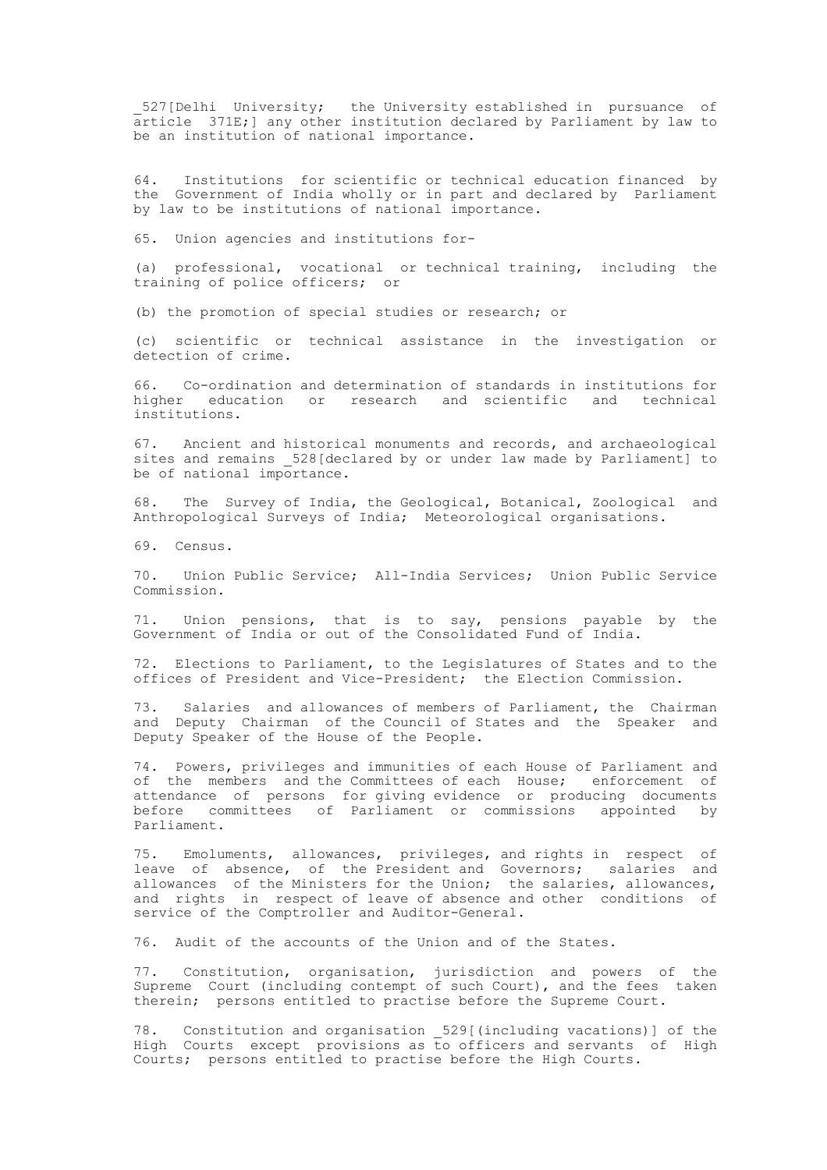527 [Delhi University; the University established in pursuance of article 371E;] any other institution declared by Parliament by law to be an institution of national importance.

64. Institutions for scientific or technical education financed by the Government of India wholly or in part and declared by Parliament by law to be institutions of national importance.

65. Union agencies and institutions for-

(a) professional, vocational or technical training, including the training of police officers; or

(b) the promotion of special studies or research; or

(c) scientific or technical assistance in the investigation or detection of crime.

66. Co-ordination and determination of standards in institutions for higher education or research and scientific and technical institutions.

67. Ancient and historical monuments and records, and archaeological sites and remains 528 [declared by or under law made by Parliament] to be of national importance.

68. The Survey of India, the Geological, Botanical, Zoological and Anthropological Surveys of India; Meteorological organisations.

69. Census.

70. Union Public Service; All-India Services; Union Public Service Commission.

71. Union pensions, that is to say, pensions payable by the Government of India or out of the Consolidated Fund of India.

72. Elections to Parliament, to the Legislatures of States and to the offices of President and Vice-President; the Election Commission.

73. Salaries and allowances of members of Parliament, the Chairman and Deputy Chairman of the Council of States and the Speaker and Deputy Speaker of the House of the People.

74. Powers, privileges and immunities of each House of Parliament and of the members and the Committees of each House; enforcement of attendance of persons for giving evidence or producing documents before committees of Parliament or commissions appointed by Parliament.

75. Emoluments, allowances, privileges, and rights in respect of leave of absence, of the President and Governors; salaries and allowances of the Ministers for the Union; the salaries, allowances, and rights in respect of leave of absence and other conditions of service of the Comptroller and Auditor-General.

76. Audit of the accounts of the Union and of the States.

77. Constitution, organisation, jurisdiction and powers of the Supreme Court (including contempt of such Court), and the fees taken therein; persons entitled to practise before the Supreme Court.

78. Constitution and organisation \_529[(including vacations)] of the High Courts except provisions as to officers and servants of High Courts; persons entitled to practise before the High Courts.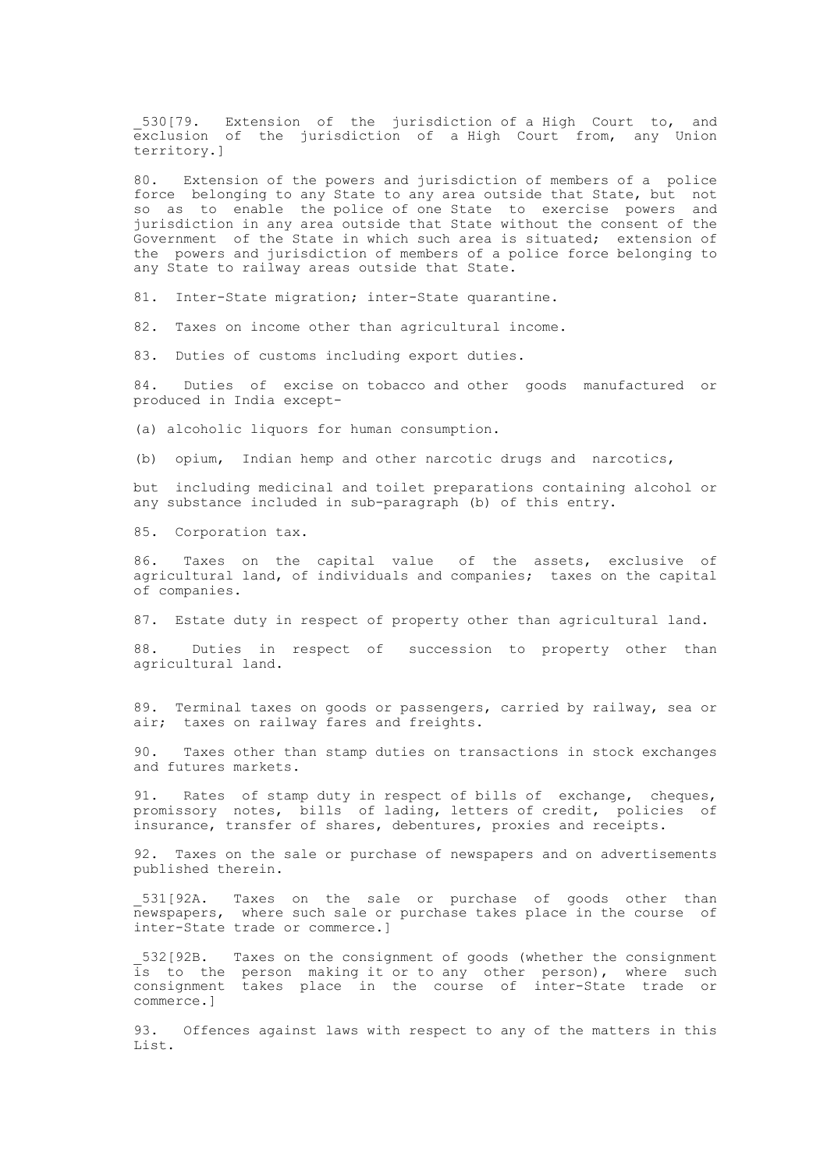530[79. Extension of the jurisdiction of a High Court to, and exclusion of the jurisdiction of a High Court from, any Union territory.]

80. Extension of the powers and jurisdiction of members of a police force belonging to any State to any area outside that State, but not so as to enable the police of one State to exercise powers and jurisdiction in any area outside that State without the consent of the Government of the State in which such area is situated; extension of the powers and jurisdiction of members of a police force belonging to any State to railway areas outside that State.

81. Inter-State migration; inter-State quarantine.

82. Taxes on income other than agricultural income.

83. Duties of customs including export duties.

84. Duties of excise on tobacco and other goods manufactured or produced in India except-

(a) alcoholic liquors for human consumption.

(b) opium, Indian hemp and other narcotic drugs and narcotics,

but including medicinal and toilet preparations containing alcohol or any substance included in sub-paragraph (b) of this entry.

85. Corporation tax.

86. Taxes on the capital value of the assets, exclusive of agricultural land, of individuals and companies; taxes on the capital of companies.

87. Estate duty in respect of property other than agricultural land.

88. Duties in respect of succession to property other than agricultural land.

89. Terminal taxes on goods or passengers, carried by railway, sea or air; taxes on railway fares and freights.

90. Taxes other than stamp duties on transactions in stock exchanges and futures markets.

91. Rates of stamp duty in respect of bills of exchange, cheques, promissory notes, bills of lading, letters of credit, policies of insurance, transfer of shares, debentures, proxies and receipts.

92. Taxes on the sale or purchase of newspapers and on advertisements published therein.

\_531[92A. Taxes on the sale or purchase of goods other than newspapers, where such sale or purchase takes place in the course of inter-State trade or commerce.]

\_532[92B. Taxes on the consignment of goods (whether the consignment is to the person making it or to any other person), where such consignment takes place in the course of inter-State trade or commerce.]

93. Offences against laws with respect to any of the matters in this List.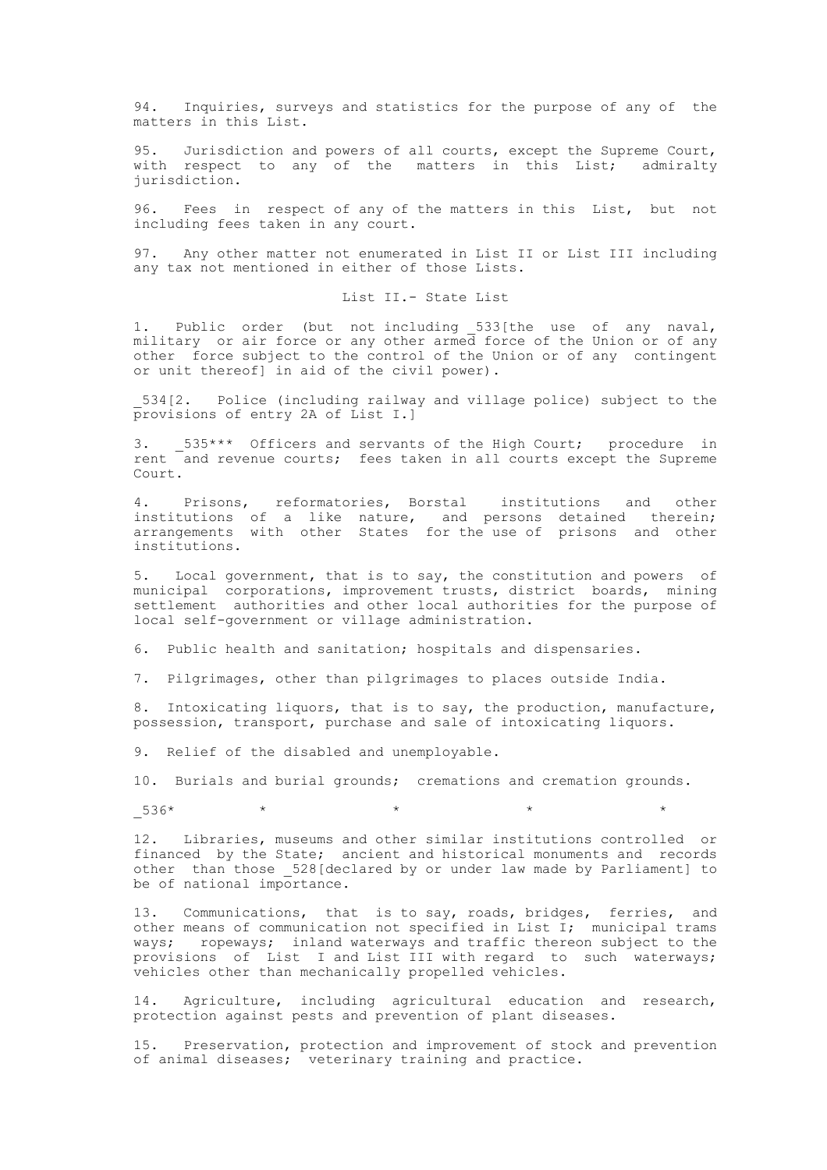94. Inquiries, surveys and statistics for the purpose of any of the matters in this List.

95. Jurisdiction and powers of all courts, except the Supreme Court, with respect to any of the matters in this List; admiralty jurisdiction.

96. Fees in respect of any of the matters in this List, but not including fees taken in any court.

97. Any other matter not enumerated in List II or List III including any tax not mentioned in either of those Lists.

List II.- State List

1. Public order (but not including \_533[the use of any naval, military or air force or any other armed force of the Union or of any other force subject to the control of the Union or of any contingent or unit thereof] in aid of the civil power).

\_534[2. Police (including railway and village police) subject to the provisions of entry 2A of List I.]

3. \_535\*\*\* Officers and servants of the High Court; procedure in rent and revenue courts; fees taken in all courts except the Supreme Court.

4. Prisons, reformatories, Borstal institutions and other institutions of a like nature, and persons detained therein; arrangements with other States for the use of prisons and other institutions.

5. Local government, that is to say, the constitution and powers of municipal corporations, improvement trusts, district boards, mining settlement authorities and other local authorities for the purpose of local self-government or village administration.

6. Public health and sanitation; hospitals and dispensaries.

7. Pilgrimages, other than pilgrimages to places outside India.

8. Intoxicating liquors, that is to say, the production, manufacture, possession, transport, purchase and sale of intoxicating liquors.

9. Relief of the disabled and unemployable.

10. Burials and burial grounds; cremations and cremation grounds.

 $536*$  \* \* \* \* \* \* \* \*

12. Libraries, museums and other similar institutions controlled or financed by the State; ancient and historical monuments and records other than those \_528[declared by or under law made by Parliament] to be of national importance.

13. Communications, that is to say, roads, bridges, ferries, and other means of communication not specified in List I; municipal trams ways; ropeways; inland waterways and traffic thereon subject to the provisions of List I and List III with regard to such waterways; vehicles other than mechanically propelled vehicles.

14. Agriculture, including agricultural education and research, protection against pests and prevention of plant diseases.

Preservation, protection and improvement of stock and prevention of animal diseases; veterinary training and practice.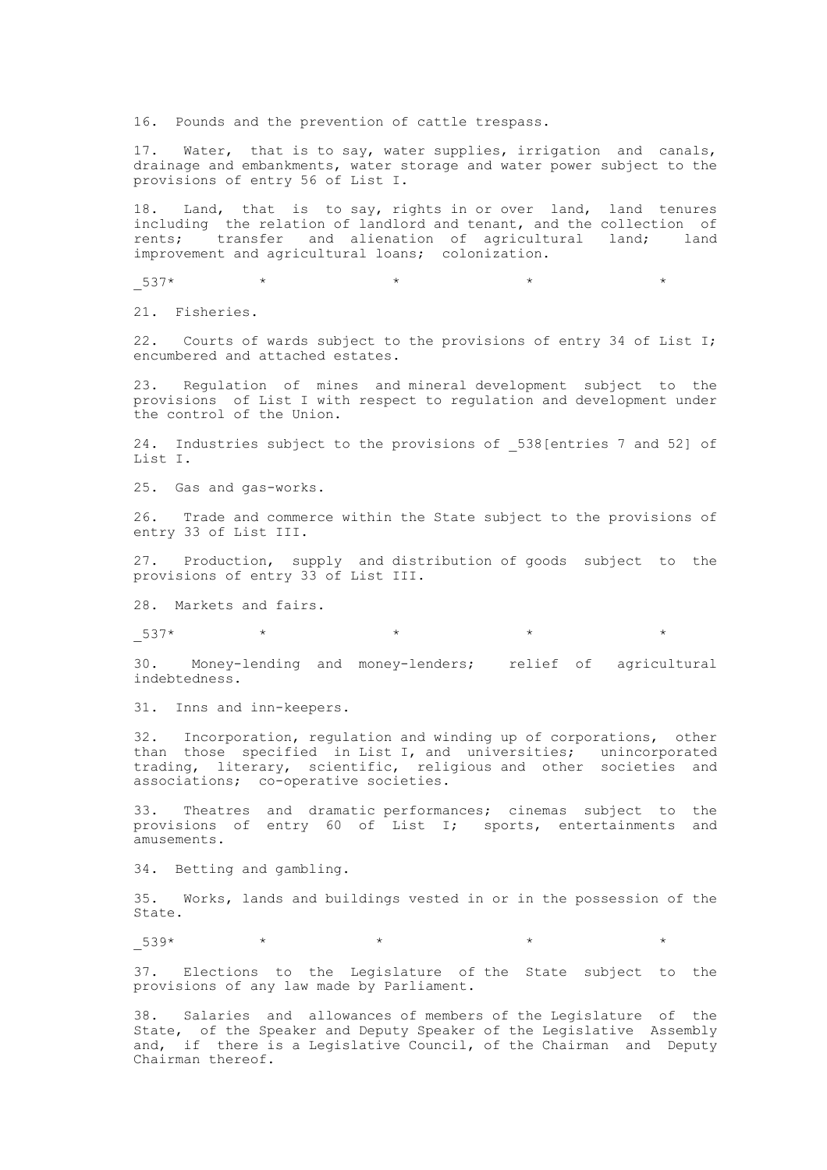16. Pounds and the prevention of cattle trespass.

17. Water, that is to say, water supplies, irrigation and canals, drainage and embankments, water storage and water power subject to the provisions of entry 56 of List I.

18. Land, that is to say, rights in or over land, land tenures including the relation of landlord and tenant, and the collection of rents; transfer and alienation of agricultural land; land improvement and agricultural loans; colonization.

 $537*$  \* \* \* \* \* \* \* \*

21. Fisheries.

22. Courts of wards subject to the provisions of entry 34 of List I; encumbered and attached estates.

23. Regulation of mines and mineral development subject to the provisions of List I with respect to regulation and development under the control of the Union.

24. Industries subject to the provisions of \_538[entries 7 and 52] of List I.

25. Gas and gas-works.

26. Trade and commerce within the State subject to the provisions of entry 33 of List III.

27. Production, supply and distribution of goods subject to the provisions of entry 33 of List III.

28. Markets and fairs.

 $-537*$  \* \* \* \* \* \*

30. Money-lending and money-lenders; relief of agricultural indebtedness.

31. Inns and inn-keepers.

32. Incorporation, regulation and winding up of corporations, other than those specified in List I, and universities; unincorporated trading, literary, scientific, religious and other societies and associations; co-operative societies.

33. Theatres and dramatic performances; cinemas subject to the provisions of entry 60 of List I; sports, entertainments and amusements.

34. Betting and gambling.

35. Works, lands and buildings vested in or in the possession of the State.

 $539*$  \* \* \*

37. Elections to the Legislature of the State subject to the provisions of any law made by Parliament.

38. Salaries and allowances of members of the Legislature of the State, of the Speaker and Deputy Speaker of the Legislative Assembly and, if there is a Legislative Council, of the Chairman and Deputy Chairman thereof.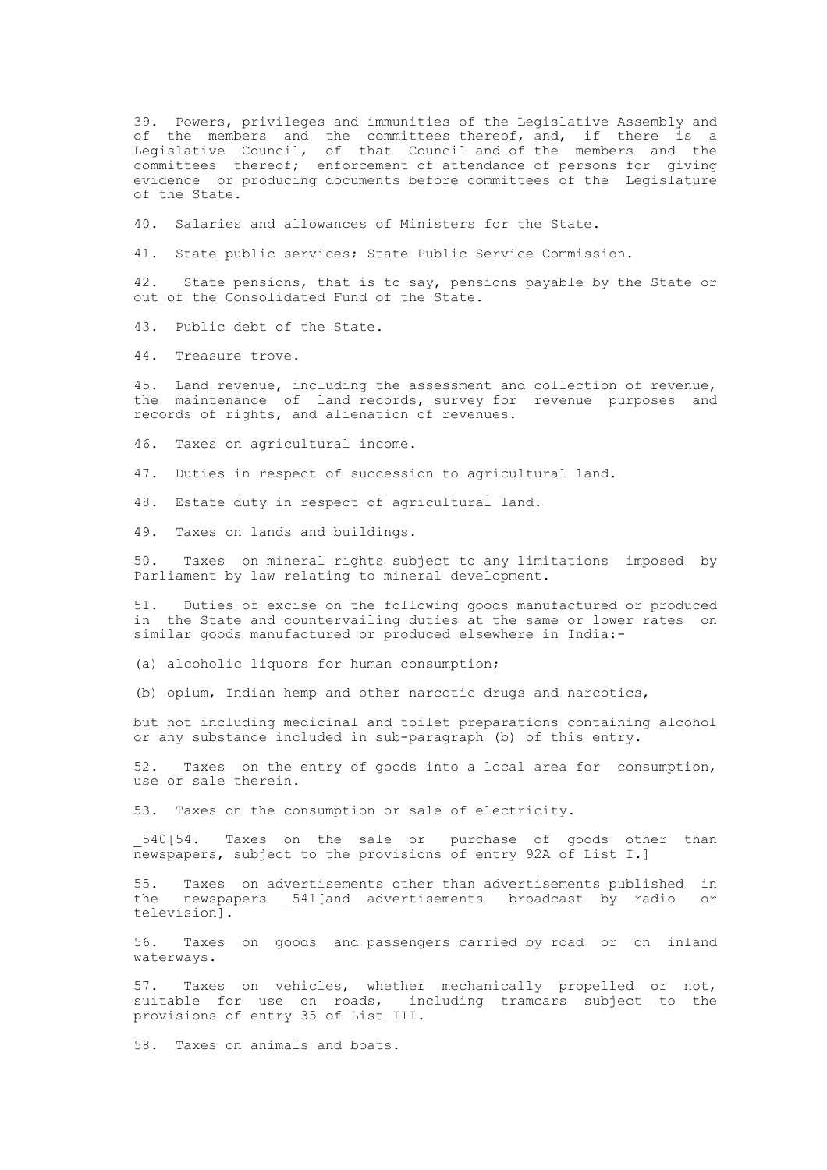39. Powers, privileges and immunities of the Legislative Assembly and of the members and the committees thereof, and, if there is a Legislative Council, of that Council and of the members and the committees thereof; enforcement of attendance of persons for giving evidence or producing documents before committees of the Legislature of the State.

40. Salaries and allowances of Ministers for the State.

41. State public services; State Public Service Commission.

42. State pensions, that is to say, pensions payable by the State or out of the Consolidated Fund of the State.

43. Public debt of the State.

44. Treasure trove.

45. Land revenue, including the assessment and collection of revenue, the maintenance of land records, survey for revenue purposes and records of rights, and alienation of revenues.

46. Taxes on agricultural income.

47. Duties in respect of succession to agricultural land.

48. Estate duty in respect of agricultural land.

49. Taxes on lands and buildings.

50. Taxes on mineral rights subject to any limitations imposed by Parliament by law relating to mineral development.

51. Duties of excise on the following goods manufactured or produced in the State and countervailing duties at the same or lower rates on similar goods manufactured or produced elsewhere in India:-

(a) alcoholic liquors for human consumption;

(b) opium, Indian hemp and other narcotic drugs and narcotics,

but not including medicinal and toilet preparations containing alcohol or any substance included in sub-paragraph (b) of this entry.

52. Taxes on the entry of goods into a local area for consumption, use or sale therein.

53. Taxes on the consumption or sale of electricity.

540[54. Taxes on the sale or purchase of goods other than newspapers, subject to the provisions of entry 92A of List I.]

55. Taxes on advertisements other than advertisements published in the newspapers \_541[and advertisements broadcast by radio or television].

56. Taxes on goods and passengers carried by road or on inland waterways.

57. Taxes on vehicles, whether mechanically propelled or not, suitable for use on roads, including tramcars subject to the provisions of entry 35 of List III.

58. Taxes on animals and boats.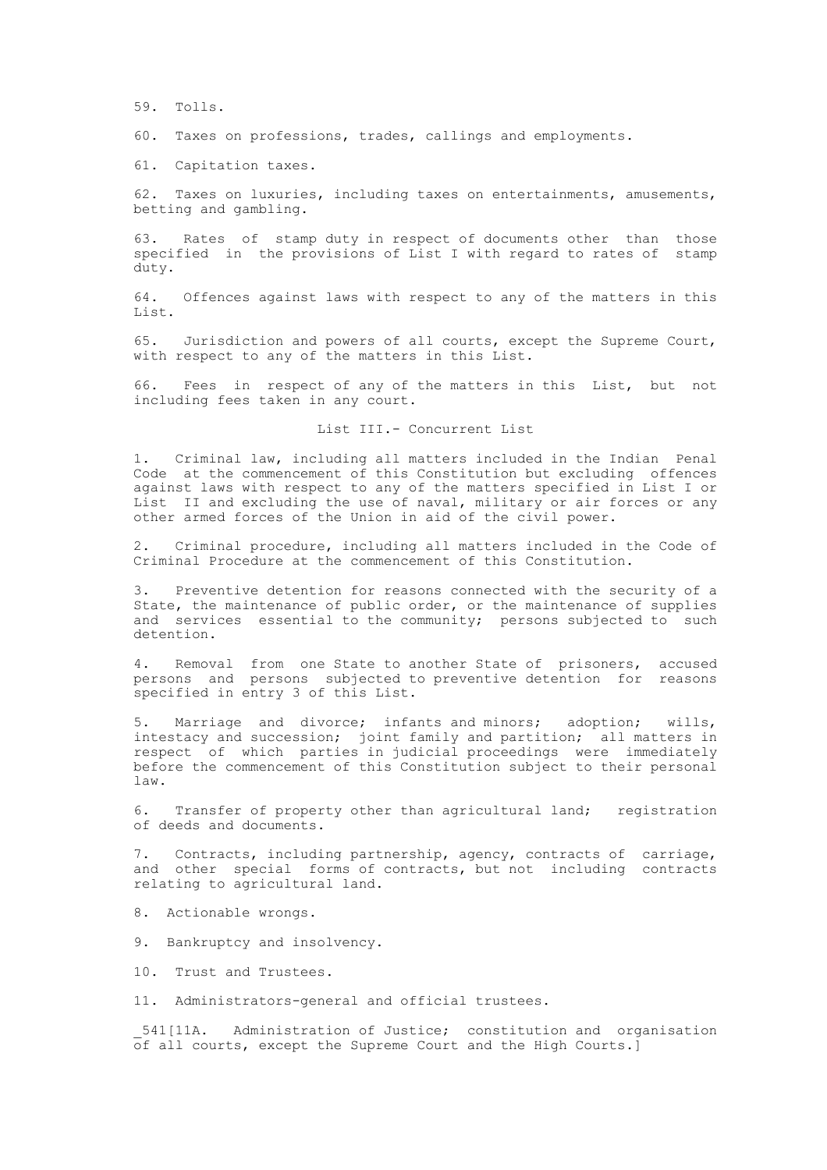59. Tolls.

60. Taxes on professions, trades, callings and employments.

61. Capitation taxes.

62. Taxes on luxuries, including taxes on entertainments, amusements, betting and gambling.

63. Rates of stamp duty in respect of documents other than those specified in the provisions of List I with regard to rates of stamp duty.

64. Offences against laws with respect to any of the matters in this List.

65. Jurisdiction and powers of all courts, except the Supreme Court, with respect to any of the matters in this List.

66. Fees in respect of any of the matters in this List, but not including fees taken in any court.

List III.- Concurrent List

1. Criminal law, including all matters included in the Indian Penal Code at the commencement of this Constitution but excluding offences against laws with respect to any of the matters specified in List I or List II and excluding the use of naval, military or air forces or any other armed forces of the Union in aid of the civil power.

2. Criminal procedure, including all matters included in the Code of Criminal Procedure at the commencement of this Constitution.

Preventive detention for reasons connected with the security of a State, the maintenance of public order, or the maintenance of supplies and services essential to the community; persons subjected to such detention.

4. Removal from one State to another State of prisoners, accused persons and persons subjected to preventive detention for reasons specified in entry 3 of this List.

5. Marriage and divorce; infants and minors; adoption; wills, intestacy and succession; joint family and partition; all matters in respect of which parties in judicial proceedings were immediately before the commencement of this Constitution subject to their personal law.

6. Transfer of property other than agricultural land; registration of deeds and documents.

7. Contracts, including partnership, agency, contracts of carriage, and other special forms of contracts, but not including contracts relating to agricultural land.

- 8. Actionable wrongs.
- 9. Bankruptcy and insolvency.
- 10. Trust and Trustees.

11. Administrators-general and official trustees.

\_541[11A. Administration of Justice; constitution and organisation  $\overline{0}$ f all courts, except the Supreme Court and the High Courts.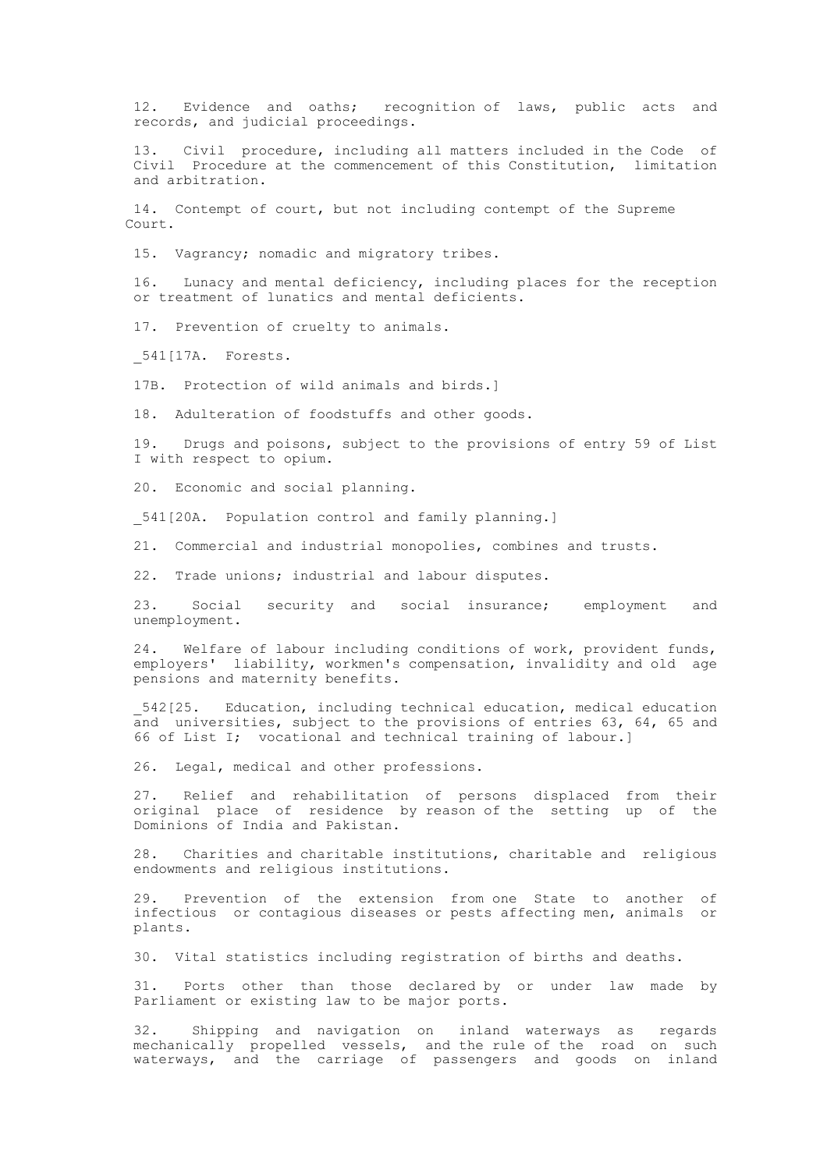12. Evidence and oaths; recognition of laws, public acts and records, and judicial proceedings.

13. Civil procedure, including all matters included in the Code of Civil Procedure at the commencement of this Constitution, limitation and arbitration.

14. Contempt of court, but not including contempt of the Supreme Court.

15. Vagrancy; nomadic and migratory tribes.

16. Lunacy and mental deficiency, including places for the reception or treatment of lunatics and mental deficients.

17. Prevention of cruelty to animals.

\_541[17A. Forests.

17B. Protection of wild animals and birds.]

18. Adulteration of foodstuffs and other goods.

19. Drugs and poisons, subject to the provisions of entry 59 of List I with respect to opium.

20. Economic and social planning.

541[20A. Population control and family planning.]

21. Commercial and industrial monopolies, combines and trusts.

22. Trade unions; industrial and labour disputes.

23. Social security and social insurance; employment and unemployment.

24. Welfare of labour including conditions of work, provident funds, employers' liability, workmen's compensation, invalidity and old age pensions and maternity benefits.

\_542[25. Education, including technical education, medical education and universities, subject to the provisions of entries 63, 64, 65 and 66 of List I; vocational and technical training of labour.]

26. Legal, medical and other professions.

27. Relief and rehabilitation of persons displaced from their original place of residence by reason of the setting up of the Dominions of India and Pakistan.

28. Charities and charitable institutions, charitable and religious endowments and religious institutions.

29. Prevention of the extension from one State to another of infectious or contagious diseases or pests affecting men, animals or plants.

30. Vital statistics including registration of births and deaths.

31. Ports other than those declared by or under law made by Parliament or existing law to be major ports.

32. Shipping and navigation on inland waterways as regards mechanically propelled vessels, and the rule of the road on such waterways, and the carriage of passengers and goods on inland